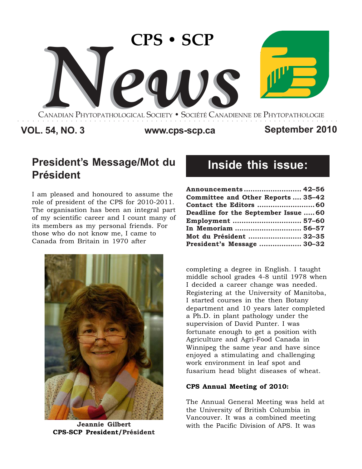

**VOL. 54, NO. 3 www.cps-scp.ca September 2010**

## **President's Message/Mot du Président**

I am pleased and honoured to assume the role of president of the CPS for 2010-2011. The organisation has been an integral part of my scientific career and I count many of its members as my personal friends. For those who do not know me, I came to Canada from Britain in 1970 after



**CPS-SCP President/Président**

# **Inside this issue:**

| Announcements  42-56                 |  |
|--------------------------------------|--|
| Committee and Other Reports  35-42   |  |
|                                      |  |
| Deadline for the September Issue  60 |  |
|                                      |  |
| In Memoriam  56-57                   |  |
| Mot du Président  32-35              |  |
| President's Message  30-32           |  |

completing a degree in English. I taught middle school grades 4-8 until 1978 when I decided a career change was needed. Registering at the University of Manitoba, I started courses in the then Botany department and 10 years later completed a Ph.D. in plant pathology under the supervision of David Punter. I was fortunate enough to get a position with Agriculture and Agri-Food Canada in Winnipeg the same year and have since enjoyed a stimulating and challenging work environment in leaf spot and fusarium head blight diseases of wheat.

## **CPS Annual Meeting of 2010:**

The Annual General Meeting was held at the University of British Columbia in Vancouver. It was a combined meeting **Jeannie Gilbert with the Pacific Division of APS.** It was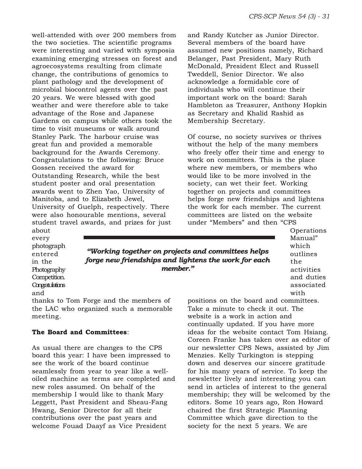well-attended with over 200 members from the two societies. The scientific programs were interesting and varied with symposia examining emerging stresses on forest and agroecosystems resulting from climate change, the contributions of genomics to plant pathology and the development of microbial biocontrol agents over the past 20 years. We were blessed with good weather and were therefore able to take advantage of the Rose and Japanese Gardens on campus while others took the time to visit museums or walk around Stanley Park. The harbour cruise was great fun and provided a memorable background for the Awards Ceremony. Congratulations to the following: Bruce Gossen received the award for Outstanding Research, while the best student poster and oral presentation awards went to Zhen Yao, University of Manitoba, and to Elizabeth Jewel, University of Guelph, respectively. There were also honourable mentions, several student travel awards, and prizes for just

and Randy Kutcher as Junior Director. Several members of the board have assumed new positions namely, Richard Belanger, Past President, Mary Ruth McDonald, President Elect and Russell Tweddell, Senior Director. We also acknowledge a formidable core of individuals who will continue their important work on the board: Sarah Hambleton as Treasurer, Anthony Hopkin as Secretary and Khalid Rashid as Membership Secretary.

Of course, no society survives or thrives without the help of the many members who freely offer their time and energy to work on committees. This is the place where new members, or members who would like to be more involved in the society, can wet their feet. Working together on projects and committees helps forge new friendships and lightens the work for each member. The current committees are listed on the website under "Members" and then "CPS

about every photograph entered in the **Photography** Competition. Congratulations and

## *"Working together on projects and committees helps forge new friendships and lightens the work for each member."*

Operations Manual" which outlines the activities and duties associated

thanks to Tom Forge and the members of the LAC who organized such a memorable meeting.

## **The Board and Committees**:

As usual there are changes to the CPS board this year: I have been impressed to see the work of the board continue seamlessly from year to year like a welloiled machine as terms are completed and new roles assumed. On behalf of the membership I would like to thank Mary Leggett, Past President and Sheau-Fang Hwang, Senior Director for all their contributions over the past years and welcome Fouad Daayf as Vice President

with positions on the board and committees. Take a minute to check it out. The website is a work in action and continually updated. If you have more ideas for the website contact Tom Hsiang. Coreen Franke has taken over as editor of our newsletter CPS News, assisted by Jim Menzies. Kelly Turkington is stepping down and deserves our sincere gratitude for his many years of service. To keep the newsletter lively and interesting you can

send in articles of interest to the general membership; they will be welcomed by the editors. Some 10 years ago, Ron Howard chaired the first Strategic Planning Committee which gave direction to the society for the next 5 years. We are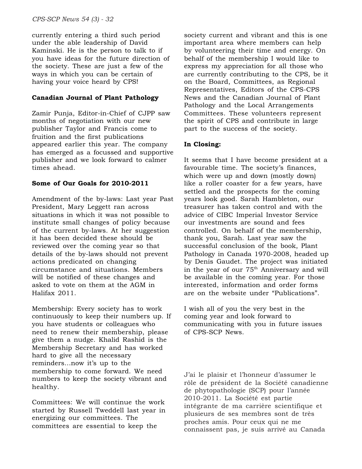currently entering a third such period under the able leadership of David Kaminski. He is the person to talk to if you have ideas for the future direction of the society. These are just a few of the ways in which you can be certain of having your voice heard by CPS!

## **Canadian Journal of Plant Pathology**

Zamir Punja, Editor-in-Chief of CJPP saw months of negotiation with our new publisher Taylor and Francis come to fruition and the first publications appeared earlier this year. The company has emerged as a focussed and supportive publisher and we look forward to calmer times ahead.

### **Some of Our Goals for 2010-2011**

Amendment of the by-laws: Last year Past President, Mary Leggett ran across situations in which it was not possible to institute small changes of policy because of the current by-laws. At her suggestion it has been decided these should be reviewed over the coming year so that details of the by-laws should not prevent actions predicated on changing circumstance and situations. Members will be notified of these changes and asked to vote on them at the AGM in Halifax 2011.

Membership: Every society has to work continuously to keep their numbers up. If you have students or colleagues who need to renew their membership, please give them a nudge. Khalid Rashid is the Membership Secretary and has worked hard to give all the necessary reminders…now it's up to the membership to come forward. We need numbers to keep the society vibrant and healthy.

Committees: We will continue the work started by Russell Tweddell last year in energizing our committees. The committees are essential to keep the

society current and vibrant and this is one important area where members can help by volunteering their time and energy. On behalf of the membership I would like to express my appreciation for all those who are currently contributing to the CPS, be it on the Board, Committees, as Regional Representatives, Editors of the CPS-CPS News and the Canadian Journal of Plant Pathology and the Local Arrangements Committees. These volunteers represent the spirit of CPS and contribute in large part to the success of the society.

## **In Closing:**

It seems that I have become president at a favourable time. The society's finances, which were up and down (mostly down) like a roller coaster for a few years, have settled and the prospects for the coming years look good. Sarah Hambleton, our treasurer has taken control and with the advice of CIBC Imperial Investor Service our investments are sound and fees controlled. On behalf of the membership, thank you, Sarah. Last year saw the successful conclusion of the book, Plant Pathology in Canada 1970-2008, headed up by Denis Gaudet. The project was initiated in the year of our 75<sup>th</sup> Anniversary and will be available in the coming year. For those interested, information and order forms are on the website under "Publications".

I wish all of you the very best in the coming year and look forward to communicating with you in future issues of CPS-SCP News.

J'ai le plaisir et l'honneur d'assumer le rôle de président de la Société canadienne de phytopathologie (SCP) pour l'année 2010-2011. La Société est partie intégrante de ma carrière scientifique et plusieurs de ses membres sont de très proches amis. Pour ceux qui ne me connaissent pas, je suis arrivé au Canada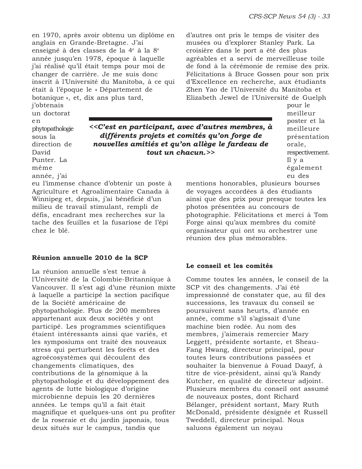meilleur poster et la meilleure présentation

orale,

respectivement.

en 1970, après avoir obtenu un diplôme en anglais en Grande-Bretagne. J'ai enseigné à des classes de la 4<sup>e</sup> à la 8<sup>e</sup> année jusqu'en 1978, époque à laquelle j'ai réalisé qu'il était temps pour moi de changer de carrière. Je me suis donc inscrit à l'Université du Manitoba, à ce qui était à l'époque le « Département de botanique », et, dix ans plus tard,

d'autres ont pris le temps de visiter des musées ou d'explorer Stanley Park. La croisière dans le port a été des plus agréables et a servi de merveilleuse toile de fond à la cérémonie de remise des prix. Félicitations à Bruce Gossen pour son prix d'Excellence en recherche, aux étudiants Zhen Yao de l'Université du Manitoba et Elizabeth Jewel de l'Université de Guelph pour le

un doctorat en phytopathologie sous la direction de David Punter. La même année, j'ai

j'obtenais

*<<C'est en participant, avec d'autres membres, à différents projets et comités qu'on forge de nouvelles amitiés et qu'on allège le fardeau de tout un chacun.>>*

eu l'immense chance d'obtenir un poste à Agriculture et Agroalimentaire Canada à Winnipeg et, depuis, j'ai bénéficié d'un milieu de travail stimulant, rempli de défis, encadrant mes recherches sur la tache des feuilles et la fusariose de l'épi chez le blé.

## **Réunion annuelle 2010 de la SCP**

La réunion annuelle s'est tenue à l'Université de la Colombie-Britannique à Vancouver. Il s'est agi d'une réunion mixte à laquelle a participé la section pacifique de la Société américaine de phytopathologie. Plus de 200 membres appartenant aux deux sociétés y ont participé. Les programmes scientifiques étaient intéressants ainsi que variés, et les symposiums ont traité des nouveaux stress qui perturbent les forêts et des agroécosystèmes qui découlent des changements climatiques, des contributions de la génomique à la phytopathologie et du développement des agents de lutte biologique d'origine microbienne depuis les 20 dernières années. Le temps qu'il a fait était magnifique et quelques-uns ont pu profiter de la roseraie et du jardin japonais, tous deux situés sur le campus, tandis que

Il y a également eu des mentions honorables, plusieurs bourses de voyages accordées à des étudiants ainsi que des prix pour presque toutes les photos présentées au concours de photographie. Félicitations et merci à Tom Forge ainsi qu'aux membres du comité organisateur qui ont su orchestrer une réunion des plus mémorables.

## **Le conseil et les comités**

Comme toutes les années, le conseil de la SCP vit des changements. J'ai été impressionné de constater que, au fil des successions, les travaux du conseil se poursuivent sans heurts, d'année en année, comme s'il s'agissait d'une machine bien rodée. Au nom des membres, j'aimerais remercier Mary Leggett, présidente sortante, et Sheau-Fang Hwang, directeur principal, pour toutes leurs contributions passées et souhaiter la bienvenue à Fouad Daayf, à titre de vice-président, ainsi qu'à Randy Kutcher, en qualité de directeur adjoint. Plusieurs membres du conseil ont assumé de nouveaux postes, dont Richard Bélanger, président sortant, Mary Ruth McDonald, présidente désignée et Russell Tweddell, directeur principal. Nous saluons également un noyau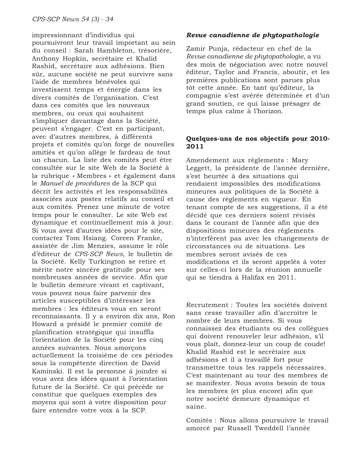impressionnant d'individus qui poursuivront leur travail important au sein du conseil : Sarah Hambleton, trésorière, Anthony Hopkin, secrétaire et Khalid Rashid, secrétaire aux adhésions. Bien sûr, aucune société ne peut survivre sans l'aide de membres bénévoles qui investissent temps et énergie dans les divers comités de l'organisation. C'est dans ces comités que les nouveaux membres, ou ceux qui souhaitent s'impliquer davantage dans la Société, peuvent s'engager. C'est en participant, avec d'autres membres, à différents projets et comités qu'on forge de nouvelles amitiés et qu'on allège le fardeau de tout un chacun. La liste des comités peut être consultée sur le site Web de la Société à la rubrique « Membres » et également dans le *Manuel de procédures* de la SCP qui décrit les activités et les responsabilités associées aux postes relatifs au conseil et aux comités. Prenez une minute de votre temps pour le consulter. Le site Web est dynamique et continuellement mis à jour. Si vous avez d'autres idées pour le site, contactez Tom Hsiang. Coreen Franke, assistée de Jim Menzies, assume le rôle d'éditeur de *CPS-SCP News*, le bulletin de la Société. Kelly Turkington se retire et mérite notre sincère gratitude pour ses nombreuses années de service. Afin que le bulletin demeure vivant et captivant, vous pouvez nous faire parvenir des articles susceptibles d'intéresser les membres : les éditeurs vous en seront reconnaissants. Il y a environ dix ans, Ron Howard a présidé le premier comité de planification stratégique qui insuffla l'orientation de la Société pour les cinq années suivantes. Nous amorçons actuellement la troisième de ces périodes sous la compétente direction de David Kaminski. Il est la personne à joindre si vous avez des idées quant à l'orientation future de la Société. Ce qui précède ne constitue que quelques exemples des moyens qui sont à votre disposition pour faire entendre votre voix à la SCP.

#### *Revue canadienne de phytopathologie*

Zamir Punja, rédacteur en chef de la *Revue canadienne de phytopathologie*, a vu des mois de négociation avec notre nouvel éditeur, Taylor and Francis, aboutir, et les premières publications sont parues plus tôt cette année. En tant qu'éditeur, la compagnie s'est avérée déterminée et d'un grand soutien, ce qui laisse présager de temps plus calme à l'horizon.

## **Quelques-uns de nos objectifs pour 2010- 2011**

Amendement aux règlements : Mary Leggett, la présidente de l'année dernière, s'est heurtée à des situations qui rendaient impossibles des modifications mineures aux politiques de la Société à cause des règlements en vigueur. En tenant compte de ses suggestions, il a été décidé que ces derniers soient révisés dans le courant de l'année afin que des dispositions mineures des règlements n'interfèrent pas avec les changements de circonstances ou de situations. Les membres seront avisés de ces modifications et ils seront appelés à voter sur celles-ci lors de la réunion annuelle qui se tiendra à Halifax en 2011.

Recrutement : Toutes les sociétés doivent sans cesse travailler afin d'accroître le nombre de leurs membres. Si vous connaissez des étudiants ou des collègues qui doivent renouveler leur adhésion, s'il vous plaît, donnez-leur un coup de coude! Khalid Rashid est le secrétaire aux adhésions et il a travaillé fort pour transmettre tous les rappels nécessaires. C'est maintenant au tour des membres de se manifester. Nous avons besoin de tous les membres (et plus encore) afin que notre société demeure dynamique et saine.

Comités : Nous allons poursuivre le travail amorcé par Russell Tweddell l'année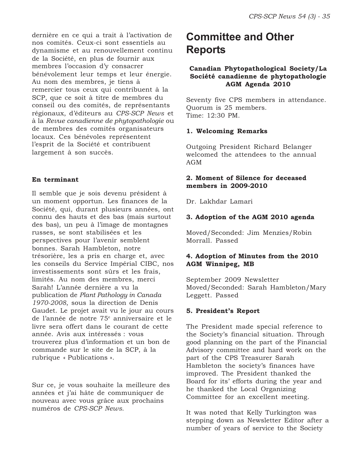dernière en ce qui a trait à l'activation de nos comités. Ceux-ci sont essentiels au dynamisme et au renouvellement continu de la Société, en plus de fournir aux membres l'occasion d'y consacrer bénévolement leur temps et leur énergie. Au nom des membres, je tiens à remercier tous ceux qui contribuent à la SCP, que ce soit à titre de membres du conseil ou des comités, de représentants régionaux, d'éditeurs au *CPS-SCP News* et à la *Revue canadienne de phytopathologie* ou de membres des comités organisateurs locaux. Ces bénévoles représentent l'esprit de la Société et contribuent largement à son succès.

## **En terminant**

Il semble que je sois devenu président à un moment opportun. Les finances de la Société, qui, durant plusieurs années, ont connu des hauts et des bas (mais surtout des bas), un peu à l'image de montagnes russes, se sont stabilisées et les perspectives pour l'avenir semblent bonnes. Sarah Hambleton, notre trésorière, les a pris en charge et, avec les conseils du Service Impérial CIBC, nos investissements sont sûrs et les frais, limités. Au nom des membres, merci Sarah! L'année dernière a vu la publication de *Plant Pathology in Canada 1970-2008*, sous la direction de Denis Gaudet. Le projet avait vu le jour au cours de l'année de notre 75e anniversaire et le livre sera offert dans le courant de cette année. Avis aux intéressés : vous trouverez plus d'information et un bon de commande sur le site de la SCP, à la rubrique « Publications ».

Sur ce, je vous souhaite la meilleure des années et j'ai hâte de communiquer de nouveau avec vous grâce aux prochains numéros de *CPS-SCP News*.

## **Committee and Other Reports**

## **Canadian Phytopathological Society/La Société canadienne de phytopathologie AGM Agenda 2010**

Seventy five CPS members in attendance. Quorum is 25 members. Time: 12:30 PM.

### **1. Welcoming Remarks**

Outgoing President Richard Belanger welcomed the attendees to the annual AGM

## **2. Moment of Silence for deceased members in 2009-2010**

Dr. Lakhdar Lamari

## **3. Adoption of the AGM 2010 agenda**

Moved/Seconded: Jim Menzies/Robin Morrall. Passed

## **4. Adoption of Minutes from the 2010 AGM Winnipeg, MB**

September 2009 Newsletter Moved/Seconded: Sarah Hambleton/Mary Leggett. Passed

## **5. President's Report**

The President made special reference to the Society's financial situation. Through good planning on the part of the Financial Advisory committee and hard work on the part of the CPS Treasurer Sarah Hambleton the society's finances have improved. The President thanked the Board for its' efforts during the year and he thanked the Local Organizing Committee for an excellent meeting.

It was noted that Kelly Turkington was stepping down as Newsletter Editor after a number of years of service to the Society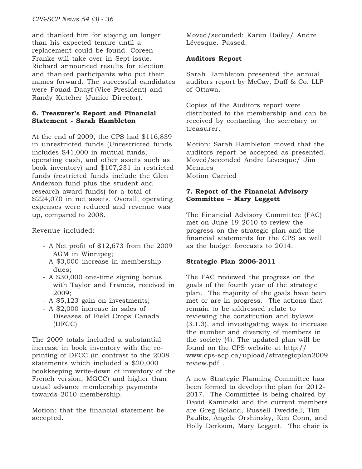and thanked him for staying on longer than his expected tenure until a replacement could be found. Coreen Franke will take over in Sept issue. Richard announced results for election and thanked participants who put their names forward. The successful candidates were Fouad Daayf (Vice President) and Randy Kutcher (Junior Director).

## **6. Treasurer's Report and Financial Statement - Sarah Hambleton**

At the end of 2009, the CPS had \$116,839 in unrestricted funds (Unrestricted funds includes \$41,000 in mutual funds, operating cash, and other assets such as book inventory) and \$107,231 in restricted funds (restricted funds include the Glen Anderson fund plus the student and research award funds) for a total of \$224,070 in net assets. Overall, operating expenses were reduced and revenue was up, compared to 2008.

Revenue included:

- A Net profit of \$12,673 from the 2009 AGM in Winnipeg;
- A \$3,000 increase in membership dues;
- A \$30,000 one-time signing bonus with Taylor and Francis, received in 2009;
- A \$5,123 gain on investments;
- A \$2,000 increase in sales of Diseases of Field Crops Canada (DFCC)

The 2009 totals included a substantial increase in book inventory with the reprinting of DFCC (in contrast to the 2008 statements which included a \$20,000 bookkeeping write-down of inventory of the French version, MGCC) and higher than usual advance membership payments towards 2010 membership.

Motion: that the financial statement be accepted.

Moved/seconded: Karen Bailey/ Andre Lévesque. Passed.

## **Auditors Report**

Sarah Hambleton presented the annual auditors report by McCay, Duff & Co. LLP of Ottawa.

Copies of the Auditors report were distributed to the membership and can be received by contacting the secretary or treasurer.

Motion: Sarah Hambleton moved that the auditors report be accepted as presented. Moved/seconded Andre Lévesque/ Jim Menzies Motion Carried

## **7. Report of the Financial Advisory Committee – Mary Leggett**

The Financial Advisory Committee (FAC) met on June 19 2010 to review the progress on the strategic plan and the financial statements for the CPS as well as the budget forecasts to 2014.

## **Strategic Plan 2006-2011**

The FAC reviewed the progress on the goals of the fourth year of the strategic plan. The majority of the goals have been met or are in progress. The actions that remain to be addressed relate to reviewing the constitution and bylaws (3.1.3), and investigating ways to increase the number and diversity of members in the society (4). The updated plan will be found on the CPS website at http:// www.cps-scp.ca/upload/strategicplan2009 review.pdf .

A new Strategic Planning Committee has been formed to develop the plan for 2012- 2017. The Committee is being chaired by David Kaminski and the current members are Greg Boland, Russell Tweddell, Tim Paulitz, Angela Orshinsky, Ken Conn, and Holly Derkson, Mary Leggett. The chair is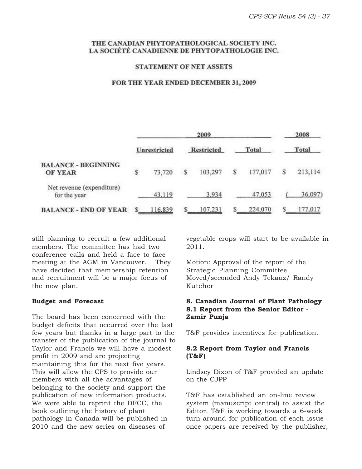#### THE CANADIAN PHYTOPATHOLOGICAL SOCIETY INC. LA SOCIÉTÉ CANADIENNE DE PHYTOPATHOLOGIE INC.

#### **STATEMENT OF NET ASSETS**

#### FOR THE YEAR ENDED DECEMBER 31, 2009

|                                              | 2009                |         |            |         |       |         | 2008  |         |
|----------------------------------------------|---------------------|---------|------------|---------|-------|---------|-------|---------|
| <b>BALANCE - BEGINNING</b><br><b>OF YEAR</b> | <b>Unrestricted</b> |         | Restricted |         | Total |         | Total |         |
|                                              | S                   | 73,720  | S          | 103,297 | s     | 177,017 | \$    | 213,114 |
| Net revenue (expenditure)<br>for the year    |                     | 43,119  |            | 3.934   |       | 47,053  |       | 36,097) |
| <b>BALANCE - END OF YEAR</b>                 |                     | 116,839 |            | 07.231  |       | 224,070 |       | 177.017 |

still planning to recruit a few additional members. The committee has had two conference calls and held a face to face meeting at the AGM in Vancouver. They have decided that membership retention and recruitment will be a major focus of the new plan.

#### **Budget and Forecast**

The board has been concerned with the budget deficits that occurred over the last few years but thanks in a large part to the transfer of the publication of the journal to Taylor and Francis we will have a modest profit in 2009 and are projecting maintaining this for the next five years. This will allow the CPS to provide our members with all the advantages of belonging to the society and support the publication of new information products. We were able to reprint the DFCC, the book outlining the history of plant pathology in Canada will be published in 2010 and the new series on diseases of

vegetable crops will start to be available in 2011.

Motion: Approval of the report of the Strategic Planning Committee Moved/seconded Andy Tekauz/ Randy Kutcher

## **8. Canadian Journal of Plant Pathology 8.1 Report from the Senior Editor - Zamir Punja**

T&F provides incentives for publication.

## **8.2 Report from Taylor and Francis (T&F)**

Lindsey Dixon of T&F provided an update on the CJPP

T&F has established an on-line review system (manuscript central) to assist the Editor. T&F is working towards a 6-week turn-around for publication of each issue once papers are received by the publisher,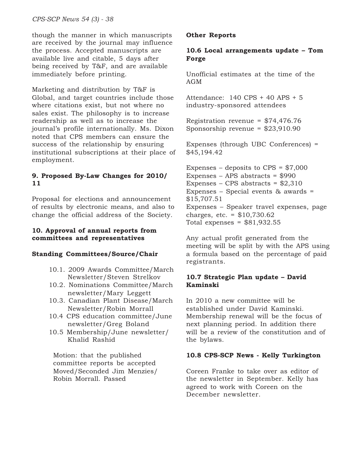though the manner in which manuscripts are received by the journal may influence the process. Accepted manuscripts are available live and citable, 5 days after being received by T&F, and are available immediately before printing.

Marketing and distribution by T&F is Global, and target countries include those where citations exist, but not where no sales exist. The philosophy is to increase readership as well as to increase the journal's profile internationally. Ms. Dixon noted that CPS members can ensure the success of the relationship by ensuring institutional subscriptions at their place of employment.

## **9. Proposed By-Law Changes for 2010/ 11**

Proposal for elections and announcement of results by electronic means, and also to change the official address of the Society.

### **10. Approval of annual reports from committees and representatives**

## **Standing Committees/Source/Chair**

- 10.1. 2009 Awards Committee/March Newsletter/Steven Strelkov
- 10.2. Nominations Committee/March newsletter/Mary Leggett
- 10.3. Canadian Plant Disease/March Newsletter/Robin Morrall
- 10.4 CPS education committee/June newsletter/Greg Boland
- 10.5 Membership/June newsletter/ Khalid Rashid

Motion: that the published committee reports be accepted Moved/Seconded Jim Menzies/ Robin Morrall. Passed

## **Other Reports**

## **10.6 Local arrangements update – Tom Forge**

Unofficial estimates at the time of the AGM

Attendance: 140 CPS + 40 APS + 5 industry-sponsored attendees

Registration revenue = \$74,476.76 Sponsorship revenue = \$23,910.90

Expenses (through UBC Conferences) = \$45,194.42

Expenses – deposits to  $CPS = $7,000$ Expenses – APS abstracts = \$990 Expenses – CPS abstracts =  $$2,310$ Expenses – Special events & awards = \$15,707.51 Expenses – Speaker travel expenses, page charges, etc. = \$10,730.62 Total expenses =  $$81,932.55$ 

Any actual profit generated from the meeting will be split by with the APS using a formula based on the percentage of paid registrants.

## **10.7 Strategic Plan update – David Kaminski**

In 2010 a new committee will be established under David Kaminski. Membership renewal will be the focus of next planning period. In addition there will be a review of the constitution and of the bylaws.

## **10.8 CPS-SCP News - Kelly Turkington**

Coreen Franke to take over as editor of the newsletter in September. Kelly has agreed to work with Coreen on the December newsletter.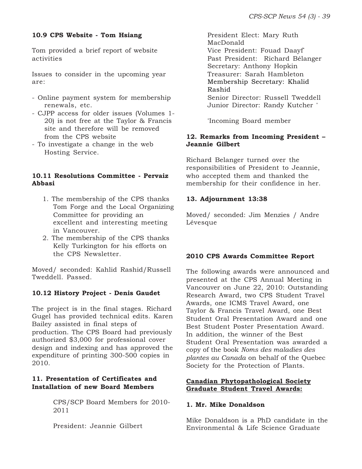## **10.9 CPS Website - Tom Hsiang**

Tom provided a brief report of website activities

Issues to consider in the upcoming year are:

- Online payment system for membership renewals, etc.
- CJPP access for older issues (Volumes 1- 20) is not free at the Taylor & Francis site and therefore will be removed from the CPS website
- To investigate a change in the web Hosting Service.

#### **10.11 Resolutions Committee - Pervaiz Abbasi**

- 1. The membership of the CPS thanks Tom Forge and the Local Organizing Committee for providing an excellent and interesting meeting in Vancouver.
- 2. The membership of the CPS thanks Kelly Turkington for his efforts on the CPS Newsletter.

Moved/ seconded: Kahlid Rashid/Russell Tweddell. Passed.

#### **10.12 History Project - Denis Gaudet**

The project is in the final stages. Richard Gugel has provided technical edits. Karen Bailey assisted in final steps of production. The CPS Board had previously authorized \$3,000 for professional cover design and indexing and has approved the expenditure of printing 300-500 copies in 2010.

#### **11. Presentation of Certificates and Installation of new Board Members**

CPS/SCP Board Members for 2010- 2011

President: Jeannie Gilbert

President Elect: Mary Ruth MacDonald Vice President: Fouad Daayf\* Past President: Richard Bélanger Secretary: Anthony Hopkin Treasurer: Sarah Hambleton Membership Secretary: Khalid Rashid Senior Director: Russell Tweddell Junior Director: Randy Kutcher \*

\* Incoming Board member

#### **12. Remarks from Incoming President – Jeannie Gilbert**

Richard Belanger turned over the responsibilities of President to Jeannie, who accepted them and thanked the membership for their confidence in her.

### **13. Adjournment 13:38**

Moved/ seconded: Jim Menzies / Andre Lévesque

#### **2010 CPS Awards Committee Report**

The following awards were announced and presented at the CPS Annual Meeting in Vancouver on June 22, 2010: Outstanding Research Award, two CPS Student Travel Awards, one ICMS Travel Award, one Taylor & Francis Travel Award, one Best Student Oral Presentation Award and one Best Student Poster Presentation Award. In addition, the winner of the Best Student Oral Presentation was awarded a copy of the book *Noms des maladies des plantes au Canada* on behalf of the Quebec Society for the Protection of Plants.

### **Canadian Phytopathological Society Graduate Student Travel Awards:**

#### **1. Mr. Mike Donaldson**

Mike Donaldson is a PhD candidate in the Environmental & Life Science Graduate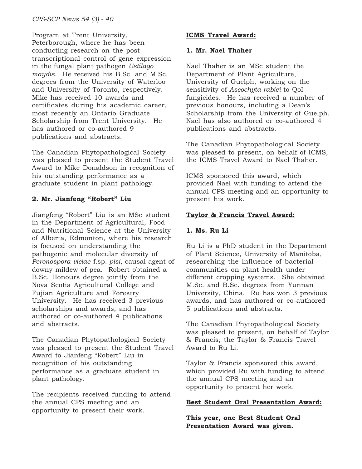Program at Trent University, Peterborough, where he has been conducting research on the posttranscriptional control of gene expression in the fungal plant pathogen *Ustilago maydis*. He received his B.Sc. and M.Sc. degrees from the University of Waterloo and University of Toronto, respectively. Mike has received 10 awards and certificates during his academic career, most recently an Ontario Graduate Scholarship from Trent University. He has authored or co-authored 9 publications and abstracts.

The Canadian Phytopathological Society was pleased to present the Student Travel Award to Mike Donaldson in recognition of his outstanding performance as a graduate student in plant pathology.

## **2. Mr. Jianfeng "Robert" Liu**

Jiangfeng "Robert" Liu is an MSc student in the Department of Agricultural, Food and Nutritional Science at the University of Alberta, Edmonton, where his research is focused on understanding the pathogenic and molecular diversity of *Peronospora viciae* f.sp. *pisi*, causal agent of downy mildew of pea. Robert obtained a B.Sc. Honours degree jointly from the Nova Scotia Agricultural College and Fujian Agriculture and Forestry University. He has received 3 previous scholarships and awards, and has authored or co-authored 4 publications and abstracts.

The Canadian Phytopathological Society was pleased to present the Student Travel Award to Jianfeng "Robert" Liu in recognition of his outstanding performance as a graduate student in plant pathology.

The recipients received funding to attend the annual CPS meeting and an opportunity to present their work.

## **ICMS Travel Award:**

## **1. Mr. Nael Thaher**

Nael Thaher is an MSc student the Department of Plant Agriculture, University of Guelph, working on the sensitivity of *Ascochyta rabiei* to QoI fungicides. He has received a number of previous honours, including a Dean's Scholarship from the University of Guelph. Nael has also authored or co-authored 4 publications and abstracts.

The Canadian Phytopathological Society was pleased to present, on behalf of ICMS, the ICMS Travel Award to Nael Thaher.

ICMS sponsored this award, which provided Nael with funding to attend the annual CPS meeting and an opportunity to present his work.

## **Taylor & Francis Travel Award:**

## **1. Ms. Ru Li**

Ru Li is a PhD student in the Department of Plant Science, University of Manitoba, researching the influence of bacterial communities on plant health under different cropping systems. She obtained M.Sc. and B.Sc. degrees from Yunnan University, China. Ru has won 3 previous awards, and has authored or co-authored 5 publications and abstracts.

The Canadian Phytopathological Society was pleased to present, on behalf of Taylor & Francis, the Taylor & Francis Travel Award to Ru Li.

Taylor & Francis sponsored this award, which provided Ru with funding to attend the annual CPS meeting and an opportunity to present her work.

## **Best Student Oral Presentation Award:**

**This year, one Best Student Oral Presentation Award was given.**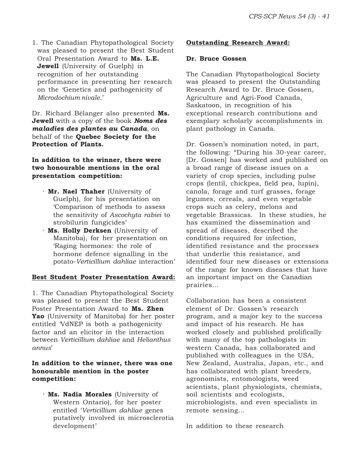1. The Canadian Phytopathological Society was pleased to present the Best Student Oral Presentation Award to **Ms. L.E. Jewell** (University of Guelph) in recognition of her outstanding performance in presenting her research on the 'Genetics and pathogenicity of *Microdochium nivale*.'

Dr. Richard Bélanger also presented **Ms. Jewell** with a copy of the book *Noms des maladies des plantes au Canada*, on behalf of the **Quebec Society for the Protection of Plants.**

**In addition to the winner, there were two honourable mentions in the oral presentation competition:**

- **· Mr. Nael Thaher** (University of Guelph), for his presentation on 'Comparison of methods to assess the sensitivity of *Ascochyta rabiei* to strobilurin fungicides'
- **· Ms. Holly Derksen** (University of Manitoba), for her presentation on 'Raging hormones: the role of hormone defence signalling in the potato-*Verticillium dahliae* interaction'

#### **Best Student Poster Presentation Award:**

1. The Canadian Phytopathological Society was pleased to present the Best Student Poster Presentation Award to **Ms. Zhen Yao** (University of Manitoba) for her poster entitled 'VdNEP is both a pathogenicity factor and an elicitor in the interaction between *Verticillium dahliae* and *Helianthus annus*'

#### **In addition to the winner, there was one honourable mention in the poster competition:**

**· Ms. Nadia Morales** (University of Western Ontario), for her poster entitled '*Verticillium dahliae* genes putatively involved in microsclerotia development'

#### **Outstanding Research Award:**

#### **Dr. Bruce Gossen**

The Canadian Phytopathological Society was pleased to present the Outstanding Research Award to Dr. Bruce Gossen, Agriculture and Agri-Food Canada, Saskatoon, in recognition of his exceptional research contributions and exemplary scholarly accomplishments in plant pathology in Canada.

Dr. Gossen's nomination noted, in part, the following: "During his 30-year career, [Dr. Gossen] has worked and published on a broad range of disease issues on a variety of crop species, including pulse crops (lentil, chickpea, field pea, lupin), canola, forage and turf grasses, forage legumes, cereals, and even vegetable crops such as celery, melons and vegetable Brassicas. In these studies, he has examined the dissemination and spread of diseases, described the conditions required for infection, identified resistance and the processes that underlie this resistance, and identified four new diseases or extensions of the range for known diseases that have an important impact on the Canadian prairies…

Collaboration has been a consistent element of Dr. Gossen's research program, and a major key to the success and impact of his research. He has worked closely and published prolifically with many of the top pathologists in western Canada, has collaborated and published with colleagues in the USA, New Zealand, Australia, Japan, etc., and has collaborated with plant breeders, agronomists, entomologists, weed scientists, plant physiologists, chemists, soil scientists and ecologists, microbiologists, and even specialists in remote sensing…

In addition to these research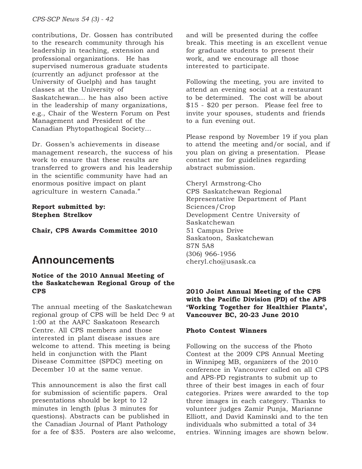contributions, Dr. Gossen has contributed to the research community through his leadership in teaching, extension and professional organizations. He has supervised numerous graduate students (currently an adjunct professor at the University of Guelph) and has taught classes at the University of Saskatchewan… he has also been active in the leadership of many organizations, e.g., Chair of the Western Forum on Pest Management and President of the Canadian Phytopathogical Society…

Dr. Gossen's achievements in disease management research, the success of his work to ensure that these results are transferred to growers and his leadership in the scientific community have had an enormous positive impact on plant agriculture in western Canada."

## **Report submitted by: Stephen Strelkov**

**Chair, CPS Awards Committee 2010**

## **Announcements**

## **Notice of the 2010 Annual Meeting of the Saskatchewan Regional Group of the CPS**

The annual meeting of the Saskatchewan regional group of CPS will be held Dec 9 at 1:00 at the AAFC Saskatoon Research Centre. All CPS members and those interested in plant disease issues are welcome to attend. This meeting is being held in conjunction with the Plant Disease Committee (SPDC) meeting on December 10 at the same venue.

This announcement is also the first call for submission of scientific papers. Oral presentations should be kept to 12 minutes in length (plus 3 minutes for questions). Abstracts can be published in the Canadian Journal of Plant Pathology for a fee of \$35. Posters are also welcome, and will be presented during the coffee break. This meeting is an excellent venue for graduate students to present their work, and we encourage all those interested to participate.

Following the meeting, you are invited to attend an evening social at a restaurant to be determined. The cost will be about \$15 - \$20 per person. Please feel free to invite your spouses, students and friends to a fun evening out.

Please respond by November 19 if you plan to attend the meeting and/or social, and if you plan on giving a presentation. Please contact me for guidelines regarding abstract submission.

Cheryl Armstrong-Cho CPS Saskatchewan Regional Representative Department of Plant Sciences/Crop Development Centre University of Saskatchewan 51 Campus Drive Saskatoon, Saskatchewan S7N 5A8 (306) 966-1956 cheryl.cho@usask.ca

## **2010 Joint Annual Meeting of the CPS with the Pacific Division (PD) of the APS 'Working Together for Healthier Plants', Vancouver BC, 20-23 June 2010**

## **Photo Contest Winners**

Following on the success of the Photo Contest at the 2009 CPS Annual Meeting in Winnipeg MB, organizers of the 2010 conference in Vancouver called on all CPS and APS-PD registrants to submit up to three of their best images in each of four categories. Prizes were awarded to the top three images in each category. Thanks to volunteer judges Zamir Punja, Marianne Elliott, and David Kaminski and to the ten individuals who submitted a total of 34 entries. Winning images are shown below.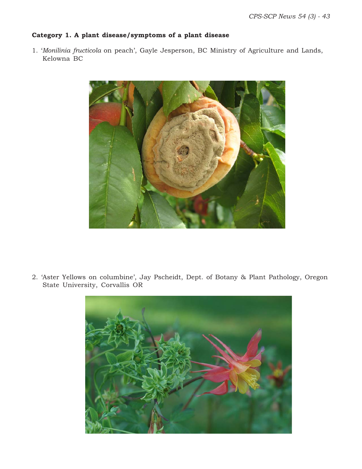## **Category 1. A plant disease/symptoms of a plant disease**

1. '*Monilinia fructicola* on peach', Gayle Jesperson, BC Ministry of Agriculture and Lands, Kelowna BC



2. 'Aster Yellows on columbine', Jay Pscheidt, Dept. of Botany & Plant Pathology, Oregon State University, Corvallis OR

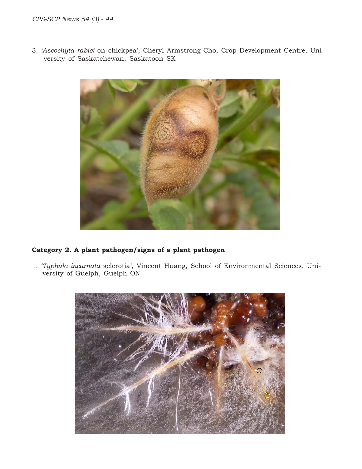3. '*Ascochyta rabiei* on chickpea', Cheryl Armstrong-Cho, Crop Development Centre, University of Saskatchewan, Saskatoon SK



## **Category 2. A plant pathogen/signs of a plant pathogen**

1. '*Typhula incarnata* sclerotia', Vincent Huang, School of Environmental Sciences, University of Guelph, Guelph ON

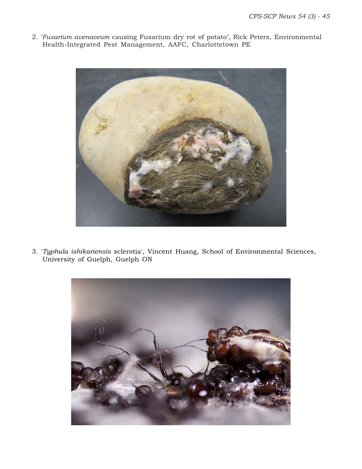2. '*Fusarium avenaceum* causing Fusarium dry rot of potato', Rick Peters, Environmental Health-Integrated Pest Management, AAFC, Charlottetown PE



3. '*Typhula ishikariensis* sclerotia', Vincent Huang, School of Environmental Sciences, University of Guelph, Guelph ON

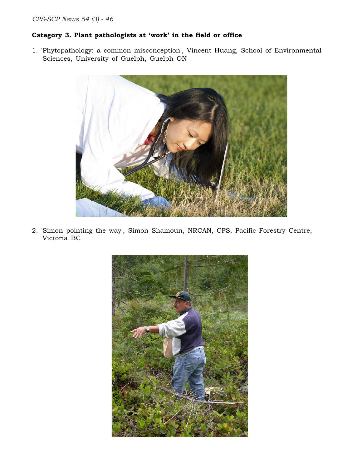## **Category 3. Plant pathologists at 'work' in the field or office**

1. 'Phytopathology: a common misconception', Vincent Huang, School of Environmental Sciences, University of Guelph, Guelph ON



2. 'Simon pointing the way', Simon Shamoun, NRCAN, CFS, Pacific Forestry Centre, Victoria BC

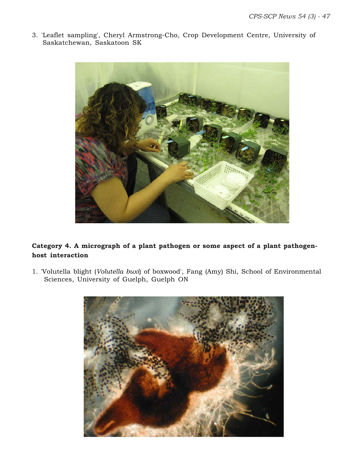3. 'Leaflet sampling', Cheryl Armstrong-Cho, Crop Development Centre, University of Saskatchewan, Saskatoon SK



## **Category 4. A micrograph of a plant pathogen or some aspect of a plant pathogenhost interaction**

1. 'Volutella blight (*Volutella buxi*) of boxwood', Fang (Amy) Shi, School of Environmental Sciences, University of Guelph, Guelph ON

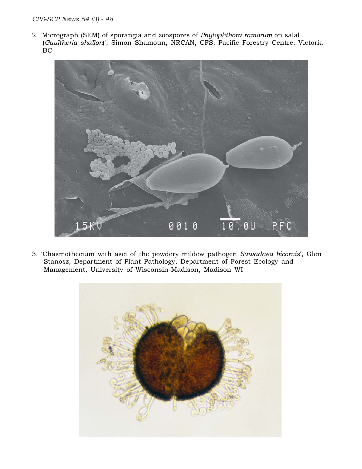*CPS-SCP News 54 (3) - 48*

2. 'Micrograph (SEM) of sporangia and zoospores of *Phytophthora ramorum* on salal (*Gaultheria shallon*)', Simon Shamoun, NRCAN, CFS, Pacific Forestry Centre, Victoria BC



3. 'Chasmothecium with asci of the powdery mildew pathogen *Sawadaea bicornis*', Glen Stanosz, Department of Plant Pathology, Department of Forest Ecology and Management, University of Wisconsin-Madison, Madison WI

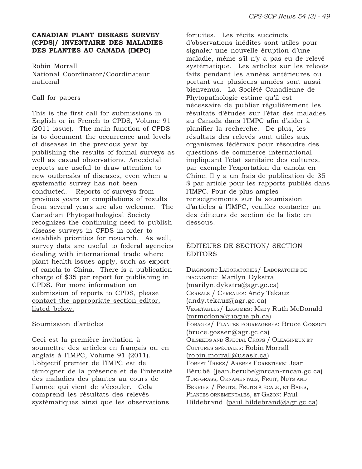## **CANADIAN PLANT DISEASE SURVEY (CPDS)/ INVENTAIRE DES MALADIES DES PLANTES AU CANADA (IMPC)**

Robin Morrall National Coordinator/Coordinateur national

## Call for papers

This is the first call for submissions in English or in French to CPDS, Volume 91 (2011 issue). The main function of CPDS is to document the occurrence and levels of diseases in the previous year by publishing the results of formal surveys as well as casual observations. Anecdotal reports are useful to draw attention to new outbreaks of diseases, even when a systematic survey has not been conducted. Reports of surveys from previous years or compilations of results from several years are also welcome. The Canadian Phytopathological Society recognizes the continuing need to publish disease surveys in CPDS in order to establish priorities for research. As well, survey data are useful to federal agencies dealing with international trade where plant health issues apply, such as export of canola to China. There is a publication charge of \$35 per report for publishing in CPDS. For more information on submission of reports to CPDS, please contact the appropriate section editor, listed below.

## Soumission d'articles

Ceci est la première invitation à soumettre des articles en français ou en anglais à l'IMPC, Volume 91 (2011). L'objectif premier de l'IMPC est de témoigner de la présence et de l'intensité des maladies des plantes au cours de l'année qui vient de s'écouler. Cela comprend les résultats des relevés systématiques ainsi que les observations

fortuites. Les récits succincts d'observations inédites sont utiles pour signaler une nouvelle éruption d'une maladie, même s'il n'y a pas eu de relevé systématique. Les articles sur les relevés faits pendant les années antérieures ou portant sur plusieurs années sont aussi bienvenus. La Société Canadienne de Phytopathologie estime qu'il est nécessaire de publier régulièrement les résultats d'études sur l'état des maladies au Canada dans l'IMPC afin d'aider à planifier la recherche. De plus, les résultats des relevés sont utiles aux organismes fédéraux pour résoudre des questions de commerce international impliquant l'état sanitaire des cultures, par exemple l'exportation du canola en Chine. Il y a un frais de publication de 35 \$ par article pour les rapports publiés dans l'IMPC. Pour de plus amples renseignements sur la soumission d'articles à l'IMPC, veuillez contacter un des éditeurs de section de la liste en dessous.

## ÉDITEURS DE SECTION/ SECTION EDITORS

DIAGNOSTIC LABORATORIES/ LABORATOIRE DE DIAGNOSTIC: Marilyn Dykstra (marilyn.dykstra@agr.gc.ca) CEREALS / CEREALES: Andy Tekauz (andy.tekauz@agr.gc.ca) VEGETABLES/ LEGUMES: Mary Ruth McDonald (mrmcdona@uoguelph.ca) FORAGES/ PLANTES FOURRAGERES: Bruce Gossen (bruce.gossen@agr.gc.ca) OILSEEDS AND SPECIAL CROPS / OLÉAGINEUX ET CULTURES SPÉCIALES: Robin Morrall (robin.morrall@usask.ca) FOREST TREES/ ARBRES FORESTIERS: Jean Bérubé (jean.berube@nrcan-rncan.gc.ca) TURFGRASS, ORNAMENTALS, FRUIT, NUTS AND BERRIES / FRUITS, FRUITS À ÉCALE, ET BAIES, PLANTES ORNEMENTALES, ET GAZON: Paul Hildebrand (paul.hildebrand@agr.gc.ca)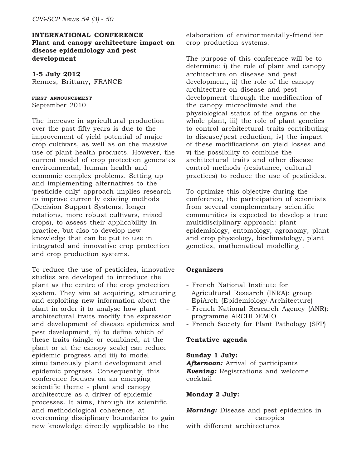## **INTERNATIONAL CONFERENCE Plant and canopy architecture impact on disease epidemiology and pest development**

**1-5 July 2012** Rennes, Brittany, FRANCE

**FIRST ANNOUNCEMENT** September 2010

The increase in agricultural production over the past fifty years is due to the improvement of yield potential of major crop cultivars, as well as on the massive use of plant health products. However, the current model of crop protection generates environmental, human health and economic complex problems. Setting up and implementing alternatives to the 'pesticide only' approach implies research to improve currently existing methods (Decision Support Systems, longer rotations, more robust cultivars, mixed crops), to assess their applicability in practice, but also to develop new knowledge that can be put to use in integrated and innovative crop protection and crop production systems.

To reduce the use of pesticides, innovative studies are developed to introduce the plant as the centre of the crop protection system. They aim at acquiring, structuring and exploiting new information about the plant in order i) to analyse how plant architectural traits modify the expression and development of disease epidemics and pest development, ii) to define which of these traits (single or combined, at the plant or at the canopy scale) can reduce epidemic progress and iii) to model simultaneously plant development and epidemic progress. Consequently, this conference focuses on an emerging scientific theme - plant and canopy architecture as a driver of epidemic processes. It aims, through its scientific and methodological coherence, at overcoming disciplinary boundaries to gain new knowledge directly applicable to the

elaboration of environmentally-friendlier crop production systems.

The purpose of this conference will be to determine: i) the role of plant and canopy architecture on disease and pest development, ii) the role of the canopy architecture on disease and pest development through the modification of the canopy microclimate and the physiological status of the organs or the whole plant, iii) the role of plant genetics to control architectural traits contributing to disease/pest reduction, iv) the impact of these modifications on yield losses and v) the possibility to combine the architectural traits and other disease control methods (resistance, cultural practices) to reduce the use of pesticides.

To optimize this objective during the conference, the participation of scientists from several complementary scientific communities is expected to develop a true multidisciplinary approach: plant epidemiology, entomology, agronomy, plant and crop physiology, bioclimatology, plant genetics, mathematical modelling .

#### **Organizers**

- French National Institute for Agricultural Research (INRA): group EpiArch (Epidemiology-Architecture)
- French National Research Agency (ANR): programme ARCHIDEMIO
- French Society for Plant Pathology (SFP)

#### **Tentative agenda**

**Sunday 1 July:** *Afternoon:* Arrival of participants *Evening:* Registrations and welcome cocktail

#### **Monday 2 July:**

*Morning:* Disease and pest epidemics in canopies with different architectures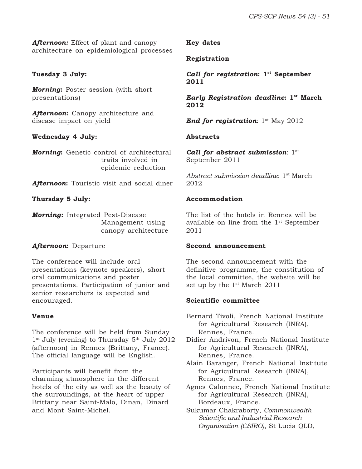*Afternoon:* Effect of plant and canopy architecture on epidemiological processes

## **Tuesday 3 July:**

*Morning***:** Poster session (with short presentations)

*Afternoon***:** Canopy architecture and disease impact on yield

### **Wednesday 4 July:**

*Morning***:** Genetic control of architectural traits involved in epidemic reduction

*Afternoon***:** Touristic visit and social diner

**Thursday 5 July:**

*Morning***:** Integrated Pest-Disease Management using canopy architecture

## *Afternoon***:** Departure

The conference will include oral presentations (keynote speakers), short oral communications and poster presentations. Participation of junior and senior researchers is expected and encouraged.

## **Venue**

The conference will be held from Sunday  $1<sup>st</sup>$  July (evening) to Thursday  $5<sup>th</sup>$  July 2012 (afternoon) in Rennes (Brittany, France). The official language will be English.

Participants will benefit from the charming atmosphere in the different hotels of the city as well as the beauty of the surroundings, at the heart of upper Brittany near Saint-Malo, Dinan, Dinard and Mont Saint-Michel.

**Key dates**

**Registration**

*Call for registration***: 1st September 2011**

*Early Registration deadline***: 1st March 2012**

*End for registration*: 1<sup>st</sup> May 2012

### **Abstracts**

*Call for abstract submission*: 1st September 2011

*Abstract submission deadline*: 1st March 2012

### **Accommodation**

The list of the hotels in Rennes will be available on line from the 1st September 2011

### **Second announcement**

The second announcement with the definitive programme, the constitution of the local committee, the website will be set up by the 1<sup>st</sup> March 2011

#### **Scientific committee**

Bernard Tivoli, French National Institute for Agricultural Research (INRA), Rennes, France.

Didier Andrivon, French National Institute for Agricultural Research (INRA), Rennes, France.

Alain Baranger, French National Institute for Agricultural Research (INRA), Rennes, France.

Agnes Calonnec, French National Institute for Agricultural Research (INRA), Bordeaux, France.

Sukumar Chakraborty, *Commonwealth Scientific and Industrial Research Organisation (CSIRO)*, St Lucia QLD,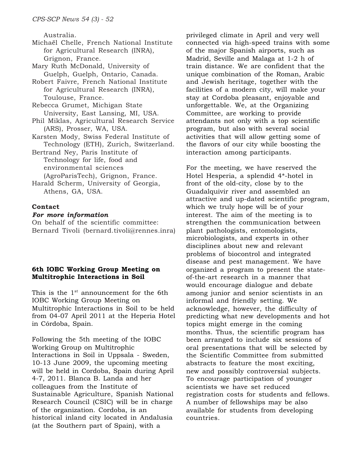Australia.

- Michaël Chelle, French National Institute for Agricultural Research (INRA), Grignon, France.
- Mary Ruth McDonald, University of Guelph, Guelph, Ontario, Canada.
- Robert Faivre, French National Institute for Agricultural Research (INRA), Toulouse, France.
- Rebecca Grumet, Michigan State University, East Lansing, MI, USA.
- Phil Miklas, Agricultural Research Service (ARS), Prosser, WA, USA.
- Karsten Mody, Swiss Federal Institute of Technology (ETH), Zurich, Switzerland.
- Bertrand Ney, Paris Institute of Technology for life, food and environmental sciences (AgroParisTech), Grignon, France.
- Harald Scherm, University of Georgia, Athens, GA, USA.

### **Contact**

#### *For more information*

On behalf of the scientific committee: Bernard Tivoli (bernard.tivoli@rennes.inra)

## **6th IOBC Working Group Meeting on Multitrophic Interactions in Soil**

This is the  $1<sup>st</sup>$  announcement for the 6th IOBC Working Group Meeting on Multitrophic Interactions in Soil to be held from 04-07 April 2011 at the Heperia Hotel in Córdoba, Spain.

Following the 5th meeting of the IOBC Working Group on Multitrophic Interactions in Soil in Uppsala - Sweden, 10-13 June 2009, the upcoming meeting will be held in Cordoba, Spain during April 4-7, 2011. Blanca B. Landa and her colleagues from the Institute of Sustainable Agriculture, Spanish National Research Council (CSIC) will be in charge of the organization. Cordoba, is an historical inland city located in Andalusia (at the Southern part of Spain), with a

privileged climate in April and very well connected via high-speed trains with some of the major Spanish airports, such as Madrid, Seville and Malaga at 1-2 h of train distance. We are confident that the unique combination of the Roman, Arabic and Jewish heritage, together with the facilities of a modern city, will make your stay at Cordoba pleasant, enjoyable and unforgettable. We, at the Organizing Committee, are working to provide attendants not only with a top scientific program, but also with several social activities that will allow getting some of the flavors of our city while boosting the interaction among participants.

For the meeting, we have reserved the Hotel Hesperia, a splendid 4\*-hotel in front of the old-city, close by to the Guadalquivir river and assembled an attractive and up-dated scientific program, which we truly hope will be of your interest. The aim of the meeting is to strengthen the communication between plant pathologists, entomologists, microbiologists, and experts in other disciplines about new and relevant problems of biocontrol and integrated disease and pest management. We have organized a program to present the stateof-the-art research in a manner that would encourage dialogue and debate among junior and senior scientists in an informal and friendly setting. We acknowledge, however, the difficulty of predicting what new developments and hot topics might emerge in the coming months. Thus, the scientific program has been arranged to include six sessions of oral presentations that will be selected by the Scientific Committee from submitted abstracts to feature the most exciting, new and possibly controversial subjects. To encourage participation of younger scientists we have set reduced registration costs for students and fellows. A number of fellowships may be also available for students from developing countries.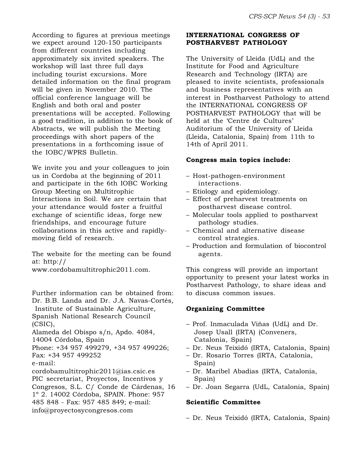According to figures at previous meetings we expect around 120-150 participants from different countries including approximately six invited speakers. The workshop will last three full days including tourist excursions. More detailed information on the final program will be given in November 2010. The official conference language will be English and both oral and poster presentations will be accepted. Following a good tradition, in addition to the book of Abstracts, we will publish the Meeting proceedings with short papers of the presentations in a forthcoming issue of the IOBC/WPRS Bulletin.

We invite you and your colleagues to join us in Cordoba at the beginning of 2011 and participate in the 6th IOBC Working Group Meeting on Multitrophic Interactions in Soil. We are certain that your attendance would foster a fruitful exchange of scientific ideas, forge new friendships, and encourage future collaborations in this active and rapidlymoving field of research.

The website for the meeting can be found at: http://

www.cordobamultitrophic2011.com.

Further information can be obtained from: Dr. B.B. Landa and Dr. J.A. Navas-Cortés, Institute of Sustainable Agriculture, Spanish National Research Council (CSIC), Alameda del Obispo s/n, Apdo. 4084, 14004 Córdoba, Spain Phone: +34 957 499279, +34 957 499226; Fax: +34 957 499252 e-mail: cordobamultitrophic2011@ias.csic.es PIC secretariat, Proyectos, Incentivos y Congresos, S.L. C/ Conde de Cárdenas, 16 1º 2. 14002 Córdoba, SPAIN. Phone: 957 485 848 - Fax: 957 485 849; e-mail: info@proyectosycongresos.com

## **INTERNATIONAL CONGRESS OF POSTHARVEST PATHOLOGY**

The University of Lleida (UdL) and the Institute for Food and Agriculture Research and Technology (IRTA) are pleased to invite scientists, professionals and business representatives with an interest in Postharvest Pathology to attend the INTERNATIONAL CONGRESS OF POSTHARVEST PATHOLOGY that will be held at the 'Centre de Cultures' Auditorium of the University of Lleida (Lleida, Catalonia, Spain) from 11th to 14th of April 2011.

## **Congress main topics include:**

- Host-pathogen-environment interactions.
- Etiology and epidemiology.
- Effect of preharvest treatments on postharvest disease control.
- Molecular tools applied to postharvest pathology studies.
- Chemical and alternative disease control strategies.
- Production and formulation of biocontrol agents.

This congress will provide an important opportunity to present your latest works in Postharvest Pathology, to share ideas and to discuss common issues.

## **Organizing Committee**

- Prof. Inmaculada Viñas (UdL) and Dr. Josep Usall (IRTA) (Conveners, Catalonia, Spain)
- Dr. Neus Teixidó (IRTA, Catalonia, Spain)
- Dr. Rosario Torres (IRTA, Catalonia, Spain)
- Dr. Maribel Abadias (IRTA, Catalonia, Spain)
- Dr. Joan Segarra (UdL, Catalonia, Spain)

## **Scientific Committee**

– Dr. Neus Teixidó (IRTA, Catalonia, Spain)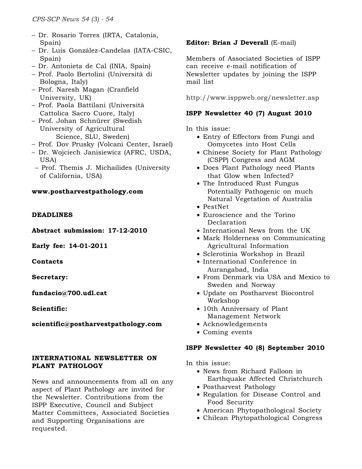- Dr. Rosario Torres (IRTA, Catalonia, Spain)
- Dr. Luis González-Candelas (IATA-CSIC, Spain)
- Dr. Antonieta de Cal (INIA, Spain)
- Prof. Paolo Bertolini (Università di Bologna, Italy)
- Prof. Naresh Magan (Cranfield University, UK)
- Prof. Paola Battilani (Università Cattolica Sacro Cuore, Italy)
- Prof. Johan Schnürer (Swedish University of Agricultural Science, SLU, Sweden)
- Prof. Dov Prusky (Volcani Center, Israel)
- Dr. Wojciech Janisiewicz (AFRC, USDA, USA)
- Prof. Themis J. Michailides (University of California, USA)

## **www.postharvestpathology.com**

### **DEADLINES**

**Abstract submission: 17-12-2010**

**Early fee: 14-01-2011**

**Contacts**

**Secretary:**

**fundacio@700.udl.cat**

**Scientific:**

**scientific@postharvestpathology.com**

## **INTERNATIONAL NEWSLETTER ON PLANT PATHOLOGY**

News and announcements from all on any aspect of Plant Pathology are invited for the Newsletter. Contributions from the ISPP Executive, Council and Subject Matter Committees, Associated Societies and Supporting Organisations are requested.

## **Editor: Brian J Deverall** (E-mail)

Members of Associated Societies of ISPP can receive e-mail notification of Newsletter updates by joining the ISPP mail list

http://www.isppweb.org/newsletter.asp

## **ISPP Newsletter 40 (7) August 2010**

In this issue:

- Entry of Effectors from Fungi and Oomycetes into Host Cells
- Chinese Society for Plant Pathology (CSPP) Congress and AGM
- Does Plant Pathology need Plants that Glow when Infected?
- The Introduced Rust Fungus Potentially Pathogenic on much Natural Vegetation of Australia
- PestNet
- Euroscience and the Torino Declaration
- International News from the UK
- Mark Holderness on Communicating Agricultural Information
- Sclerotinia Workshop in Brazil
- International Conference in Aurangabad, India
- From Denmark via USA and Mexico to Sweden and Norway
- Update on Postharvest Biocontrol Workshop
- 10th Anniversary of Plant Management Network
- Acknowledgements
- Coming events

## **ISPP Newsletter 40 (8) September 2010**

- In this issue:
	- News from Richard Falloon in Earthquake Affected Christchurch
	- Postharvest Pathology
	- Regulation for Disease Control and Food Security
	- American Phytopathological Society
	- Chilean Phytopathological Congress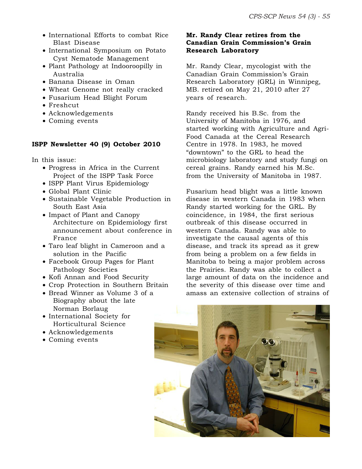- International Efforts to combat Rice Blast Disease
- International Symposium on Potato Cyst Nematode Management
- Plant Pathology at Indooroopilly in Australia
- Banana Disease in Oman
- Wheat Genome not really cracked
- Fusarium Head Blight Forum
- Freshcut
- Acknowledgements
- Coming events

### **ISPP Newsletter 40 (9) October 2010**

- In this issue:
	- Progress in Africa in the Current Project of the ISPP Task Force
	- ISPP Plant Virus Epidemiology
	- Global Plant Clinic
	- Sustainable Vegetable Production in South East Asia
	- Impact of Plant and Canopy Architecture on Epidemiology first announcement about conference in France
	- Taro leaf blight in Cameroon and a solution in the Pacific
	- Facebook Group Pages for Plant Pathology Societies
	- Kofi Annan and Food Security
	- Crop Protection in Southern Britain
	- Bread Winner as Volume 3 of a Biography about the late Norman Borlaug
	- International Society for Horticultural Science
	- Acknowledgements
	- Coming events

## **Mr. Randy Clear retires from the Canadian Grain Commission's Grain Research Laboratory**

Mr. Randy Clear, mycologist with the Canadian Grain Commission's Grain Research Laboratory (GRL) in Winnipeg, MB. retired on May 21, 2010 after 27 years of research.

Randy received his B.Sc. from the University of Manitoba in 1976, and started working with Agriculture and Agri-Food Canada at the Cereal Research Centre in 1978. In 1983, he moved "downtown" to the GRL to head the microbiology laboratory and study fungi on cereal grains. Randy earned his M.Sc. from the University of Manitoba in 1987.

Fusarium head blight was a little known disease in western Canada in 1983 when Randy started working for the GRL. By coincidence, in 1984, the first serious outbreak of this disease occurred in western Canada. Randy was able to investigate the causal agents of this disease, and track its spread as it grew from being a problem on a few fields in Manitoba to being a major problem across the Prairies. Randy was able to collect a large amount of data on the incidence and the severity of this disease over time and amass an extensive collection of strains of

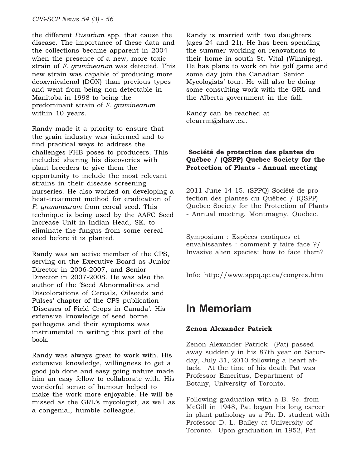the different *Fusarium* spp. that cause the disease. The importance of these data and the collections became apparent in 2004 when the presence of a new, more toxic strain of *F. graminearum* was detected. This new strain was capable of producing more deoxynivalenol (DON) than previous types and went from being non-detectable in Manitoba in 1998 to being the predominant strain of *F. graminearum* within 10 years.

Randy made it a priority to ensure that the grain industry was informed and to find practical ways to address the challenges FHB poses to producers. This included sharing his discoveries with plant breeders to give them the opportunity to include the most relevant strains in their disease screening nurseries. He also worked on developing a heat-treatment method for eradication of *F. graminearum* from cereal seed. This technique is being used by the AAFC Seed Increase Unit in Indian Head, SK. to eliminate the fungus from some cereal seed before it is planted.

Randy was an active member of the CPS, serving on the Executive Board as Junior Director in 2006-2007, and Senior Director in 2007-2008. He was also the author of the 'Seed Abnormalities and Discolorations of Cereals, Oilseeds and Pulses' chapter of the CPS publication 'Diseases of Field Crops in Canada'. His extensive knowledge of seed borne pathogens and their symptoms was instrumental in writing this part of the book.

Randy was always great to work with. His extensive knowledge, willingness to get a good job done and easy going nature made him an easy fellow to collaborate with. His wonderful sense of humour helped to make the work more enjoyable. He will be missed as the GRL's mycologist, as well as a congenial, humble colleague.

Randy is married with two daughters (ages 24 and 21). He has been spending the summer working on renovations to their home in south St. Vital (Winnipeg). He has plans to work on his golf game and some day join the Canadian Senior Mycologists' tour. He will also be doing some consulting work with the GRL and the Alberta government in the fall.

Randy can be reached at clearrm@shaw.ca.

## **Société de protection des plantes du Québec / (QSPP) Quebec Society for the Protection of Plants - Annual meeting**

2011 June 14-15. (SPPQ) Société de protection des plantes du Québec / (QSPP) Quebec Society for the Protection of Plants - Annual meeting, Montmagny, Quebec.

Symposium : Espèces exotiques et envahissantes : comment y faire face ?/ Invasive alien species: how to face them?

Info: http://www.sppq.qc.ca/congres.htm

## **In Memoriam**

## **Zenon Alexander Patrick**

Zenon Alexander Patrick (Pat) passed away suddenly in his 87th year on Saturday, July 31, 2010 following a heart attack. At the time of his death Pat was Professor Emeritus, Department of Botany, University of Toronto.

Following graduation with a B. Sc. from McGill in 1948, Pat began his long career in plant pathology as a Ph. D. student with Professor D. L. Bailey at University of Toronto. Upon graduation in 1952, Pat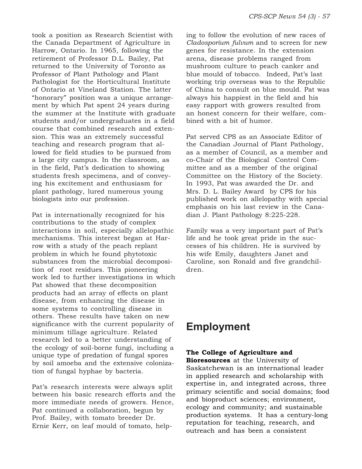took a position as Research Scientist with the Canada Department of Agriculture in Harrow, Ontario. In 1965, following the retirement of Professor D.L. Bailey, Pat returned to the University of Toronto as Professor of Plant Pathology and Plant Pathologist for the Horticultural Institute of Ontario at Vineland Station. The latter "honorary" position was a unique arrangement by which Pat spent 24 years during the summer at the Institute with graduate students and/or undergraduates in a field course that combined research and extension. This was an extremely successful teaching and research program that allowed for field studies to be pursued from a large city campus. In the classroom, as in the field, Pat's dedication to showing students fresh specimens, and of conveying his excitement and enthusiasm for plant pathology, lured numerous young biologists into our profession.

Pat is internationally recognized for his contributions to the study of complex interactions in soil, especially allelopathic mechanisms. This interest began at Harrow with a study of the peach replant problem in which he found phytotoxic substances from the microbial decomposition of root residues. This pioneering work led to further investigations in which Pat showed that these decomposition products had an array of effects on plant disease, from enhancing the disease in some systems to controlling disease in others. These results have taken on new significance with the current popularity of minimum tillage agriculture. Related research led to a better understanding of the ecology of soil-borne fungi, including a unique type of predation of fungal spores by soil amoeba and the extensive colonization of fungal hyphae by bacteria.

Pat's research interests were always split between his basic research efforts and the more immediate needs of growers. Hence, Pat continued a collaboration, begun by Prof. Bailey, with tomato breeder Dr. Ernie Kerr, on leaf mould of tomato, helping to follow the evolution of new races of *Cladosporium fulvum* and to screen for new genes for resistance. In the extension arena, disease problems ranged from mushroom culture to peach canker and blue mould of tobacco. Indeed, Pat's last working trip overseas was to the Republic of China to consult on blue mould. Pat was always his happiest in the field and his easy rapport with growers resulted from an honest concern for their welfare, combined with a bit of humor.

Pat served CPS as an Associate Editor of the Canadian Journal of Plant Pathology, as a member of Council, as a member and co-Chair of the Biological Control Committee and as a member of the original Committee on the History of the Society. In 1993, Pat was awarded the Dr. and Mrs. D. L. Bailey Award by CPS for his published work on allelopathy with special emphasis on his last review in the Canadian J. Plant Pathology 8:225-228.

Family was a very important part of Pat's life and he took great pride in the successes of his children. He is survived by his wife Emily, daughters Janet and Caroline, son Ronald and five grandchildren.

## **Employment**

## **The College of Agriculture and**

**Bioresources** at the University of Saskatchewan is an international leader in applied research and scholarship with expertise in, and integrated across, three primary scientific and social domains; food and bioproduct sciences; environment, ecology and community; and sustainable production systems. It has a century-long reputation for teaching, research, and outreach and has been a consistent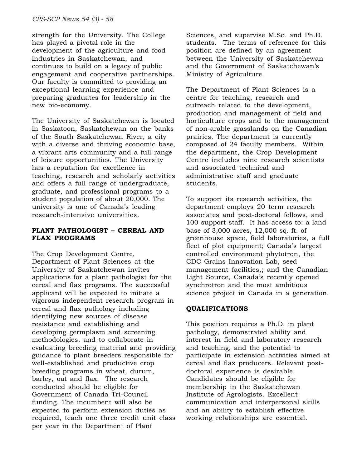strength for the University. The College has played a pivotal role in the development of the agriculture and food industries in Saskatchewan, and continues to build on a legacy of public engagement and cooperative partnerships. Our faculty is committed to providing an exceptional learning experience and preparing graduates for leadership in the new bio-economy.

The University of Saskatchewan is located in Saskatoon, Saskatchewan on the banks of the South Saskatchewan River, a city with a diverse and thriving economic base, a vibrant arts community and a full range of leisure opportunities. The University has a reputation for excellence in teaching, research and scholarly activities and offers a full range of undergraduate, graduate, and professional programs to a student population of about 20,000. The university is one of Canada's leading research-intensive universities.

## **PLANT PATHOLOGIST – CEREAL AND FLAX PROGRAMS**

The Crop Development Centre, Department of Plant Sciences at the University of Saskatchewan invites applications for a plant pathologist for the cereal and flax programs. The successful applicant will be expected to initiate a vigorous independent research program in cereal and flax pathology including identifying new sources of disease resistance and establishing and developing germplasm and screening methodologies, and to collaborate in evaluating breeding material and providing guidance to plant breeders responsible for well-established and productive crop breeding programs in wheat, durum, barley, oat and flax. The research conducted should be eligible for Government of Canada Tri-Council funding. The incumbent will also be expected to perform extension duties as required, teach one three credit unit class per year in the Department of Plant

Sciences, and supervise M.Sc. and Ph.D. students. The terms of reference for this position are defined by an agreement between the University of Saskatchewan and the Government of Saskatchewan's Ministry of Agriculture.

The Department of Plant Sciences is a centre for teaching, research and outreach related to the development, production and management of field and horticulture crops and to the management of non-arable grasslands on the Canadian prairies. The department is currently composed of 24 faculty members. Within the department, the Crop Development Centre includes nine research scientists and associated technical and administrative staff and graduate students.

To support its research activities, the department employs 20 term research associates and post-doctoral fellows, and 100 support staff. It has access to: a land base of 3,000 acres, 12,000 sq. ft. of greenhouse space, field laboratories, a full fleet of plot equipment; Canada's largest controlled environment phytotron, the CDC Grains Innovation Lab, seed management facilities,; and the Canadian Light Source, Canada's recently opened synchrotron and the most ambitious science project in Canada in a generation.

## **QUALIFICATIONS**

This position requires a Ph.D. in plant pathology, demonstrated ability and interest in field and laboratory research and teaching, and the potential to participate in extension activities aimed at cereal and flax producers. Relevant postdoctoral experience is desirable. Candidates should be eligible for membership in the Saskatchewan Institute of Agrologists. Excellent communication and interpersonal skills and an ability to establish effective working relationships are essential.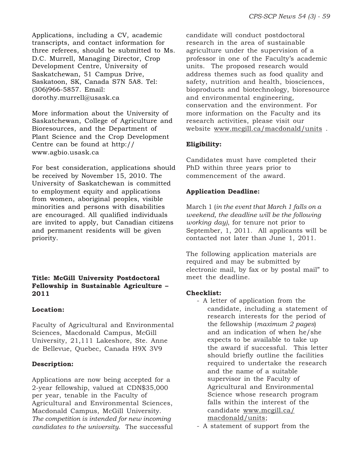Applications, including a CV, academic transcripts, and contact information for three referees, should be submitted to Ms. D.C. Murrell, Managing Director, Crop Development Centre, University of Saskatchewan, 51 Campus Drive, Saskatoon, SK, Canada S7N 5A8. Tel: (306)966-5857. Email: dorothy.murrell@usask.ca

More information about the University of Saskatchewan, College of Agriculture and Bioresources, and the Department of Plant Science and the Crop Development Centre can be found at http:// www.agbio.usask.ca

For best consideration, applications should be received by November 15, 2010. The University of Saskatchewan is committed to employment equity and applications from women, aboriginal peoples, visible minorities and persons with disabilities are encouraged. All qualified individuals are invited to apply, but Canadian citizens and permanent residents will be given priority.

## **Title: McGill University Postdoctoral Fellowship in Sustainable Agriculture – 2011**

## **Location:**

Faculty of Agricultural and Environmental Sciences, Macdonald Campus, McGill University, 21,111 Lakeshore, Ste. Anne de Bellevue, Quebec, Canada H9X 3V9

## **Description:**

Applications are now being accepted for a 2-year fellowship, valued at CDN\$35,000 per year, tenable in the Faculty of Agricultural and Environmental Sciences, Macdonald Campus, McGill University. *The competition is intended for new incoming candidates to the university*. The successful candidate will conduct postdoctoral research in the area of sustainable agriculture under the supervision of a professor in one of the Faculty's academic units. The proposed research would address themes such as food quality and safety, nutrition and health, biosciences, bioproducts and biotechnology, bioresource and environmental engineering, conservation and the environment. For more information on the Faculty and its research activities, please visit our website www.mcgill.ca/macdonald/units .

## **Eligibility:**

Candidates must have completed their PhD within three years prior to commencement of the award.

## **Application Deadline:**

March 1 (*in the event that March 1 falls on a weekend, the deadline will be the following working day)*, for tenure not prior to September, 1, 2011. All applicants will be contacted not later than June 1, 2011.

The following application materials are required and may be submitted by electronic mail, by fax or by postal mail" to meet the deadline.

## **Checklist:**

- A letter of application from the candidate, including a statement of research interests for the period of the fellowship (*maximum 2 pages*) and an indication of when he/she expects to be available to take up the award if successful. This letter should briefly outline the facilities required to undertake the research and the name of a suitable supervisor in the Faculty of Agricultural and Environmental Science whose research program falls within the interest of the candidate www.mcgill.ca/ macdonald/units;
- A statement of support from the